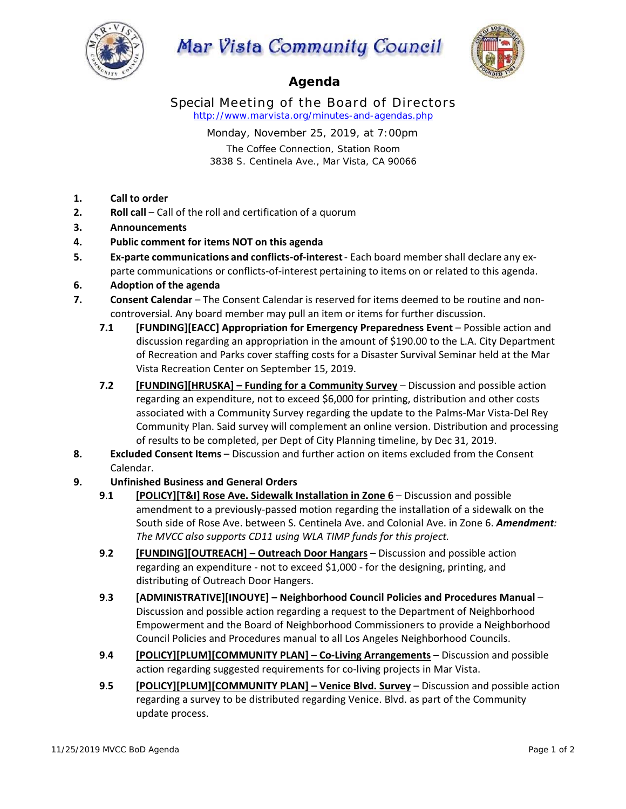

# Mar Vista Community Council



# **Agenda**

Special Meeting of the Board of Directors *http://www.marvista.org/minutes-and-agendas.php*

> Monday, November 25, 2019, at 7:00pm The Coffee Connection, Station Room 3838 S. Centinela Ave., Mar Vista, CA 90066

- **1. Call to order**
- **2. Roll call** Call of the roll and certification of a quorum
- **3. Announcements**
- **4. Public comment for items NOT on this agenda**
- **5. Ex-parte communications and conflicts-of-interest** Each board member shall declare any exparte communications or conflicts-of-interest pertaining to items on or related to this agenda.
- **6. Adoption of the agenda**
- **7. Consent Calendar** The Consent Calendar is reserved for items deemed to be routine and noncontroversial. Any board member may pull an item or items for further discussion.
	- **7.1 IEUNDING][EACC] Appropriation for Emergency Preparedness Event Possible action and** discussion regarding an appropriation in the amount of \$190.00 to the L.A. City Department of Recreation and Parks cover staffing costs for a Disaster Survival Seminar held at the Mar Vista Recreation Center on September 15, 2019.
	- **7.2 [FUNDING][HRUSKA] Funding for a Community Survey** Discussion and possible action regarding an expenditure, not to exceed \$6,000 for printing, distribution and other costs associated with a Community Survey regarding the update to the Palms‐Mar Vista‐Del Rey Community Plan. Said survey will complement an online version. Distribution and processing of results to be completed, per Dept of City Planning timeline, by Dec 31, 2019.
- **8. Excluded Consent Items**  Discussion and further action on items excluded from the Consent Calendar.

## **9. Unfinished Business and General Orders**

- **9**.**1 [POLICY][T&I] Rose Ave. Sidewalk Installation in Zone 6**  Discussion and possible amendment to a previously‐passed motion regarding the installation of a sidewalk on the South side of Rose Ave. between S. Centinela Ave. and Colonial Ave. in Zone 6. *Amendment: The MVCC also supports CD11 using WLA TIMP funds for this project.*
- **9**.**2 [FUNDING][OUTREACH] Outreach Door Hangars** Discussion and possible action regarding an expenditure ‐ not to exceed \$1,000 ‐ for the designing, printing, and distributing of Outreach Door Hangers.
- **9**.**3 [ADMINISTRATIVE][INOUYE] Neighborhood Council Policies and Procedures Manual** Discussion and possible action regarding a request to the Department of Neighborhood Empowerment and the Board of Neighborhood Commissioners to provide a Neighborhood Council Policies and Procedures manual to all Los Angeles Neighborhood Councils.
- 9.4 **[POLICY][PLUM][COMMUNITY PLAN] Co-Living Arrangements Discussion and possible** action regarding suggested requirements for co‐living projects in Mar Vista.
- **9**.**5 [POLICY][PLUM][COMMUNITY PLAN] Venice Blvd. Survey** Discussion and possible action regarding a survey to be distributed regarding Venice. Blvd. as part of the Community update process.